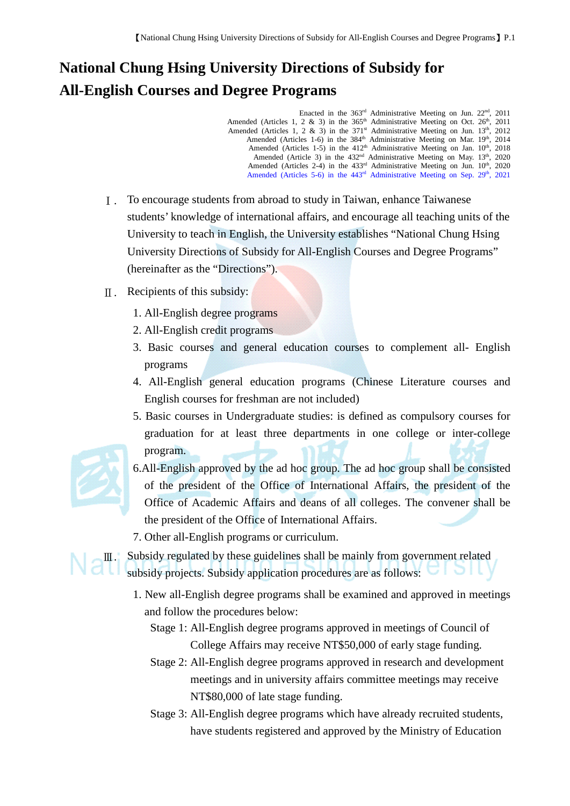## **National Chung Hsing University Directions of Subsidy for All-English Courses and Degree Programs**

Enacted in the  $363<sup>rd</sup>$  Administrative Meeting on Jun.  $22<sup>nd</sup>$ ,  $2011$ Amended (Articles 1, 2  $\&$  3) in the 365<sup>th</sup> Administrative Meeting on Oct. 26<sup>th</sup>, 2011 Amended (Articles 1, 2 & 3) in the  $371<sup>st</sup>$  Administrative Meeting on Jun.  $13<sup>th</sup>$ , 2012 Amended (Articles 1-6) in the 384<sup>th</sup> Administrative Meeting on Mar. 19<sup>th</sup>, 2014 Amended (Articles 1-5) in the 412<sup>th</sup> Administrative Meeting on Jan. 10<sup>th</sup>, 2018 Amended (Article 3) in the 432<sup>nd</sup> Administrative Meeting on May. 13<sup>th</sup>, 2020 Amended (Articles 2-4) in the 433<sup>rd</sup> Administrative Meeting on Jun. 10<sup>th</sup>, 2020 Amended (Articles 5-6) in the 443<sup>rd</sup> Administrative Meeting on Sep. 29<sup>th</sup>, 2021

- Ⅰ. To encourage students from abroad to study in Taiwan, enhance Taiwanese students' knowledge of international affairs, and encourage all teaching units of the University to teach in English, the University establishes "National Chung Hsing University Directions of Subsidy for All-English Courses and Degree Programs" (hereinafter as the "Directions").
- $\mathbb{I}$ . Recipients of this subsidy:
	- 1. All-English degree programs
	- 2. All-English credit programs
	- 3. Basic courses and general education courses to complement all- English programs
	- 4. All-English general education programs (Chinese Literature courses and English courses for freshman are not included)
	- 5. Basic courses in Undergraduate studies: is defined as compulsory courses for graduation for at least three departments in one college or inter-college program.

- 6.All-English approved by the ad hoc group. The ad hoc group shall be consisted of the president of the Office of International Affairs, the president of the Office of Academic Affairs and deans of all colleges. The convener shall be the president of the Office of International Affairs.
- 7. Other all-English programs or curriculum.

Ⅲ. Subsidy regulated by these guidelines shall be mainly from government related subsidy projects. Subsidy application procedures are as follows:

1. New all-English degree programs shall be examined and approved in meetings and follow the procedures below:

Stage 1: All-English degree programs approved in meetings of Council of College Affairs may receive NT\$50,000 of early stage funding.

- Stage 2: All-English degree programs approved in research and development meetings and in university affairs committee meetings may receive NT\$80,000 of late stage funding.
- Stage 3: All-English degree programs which have already recruited students, have students registered and approved by the Ministry of Education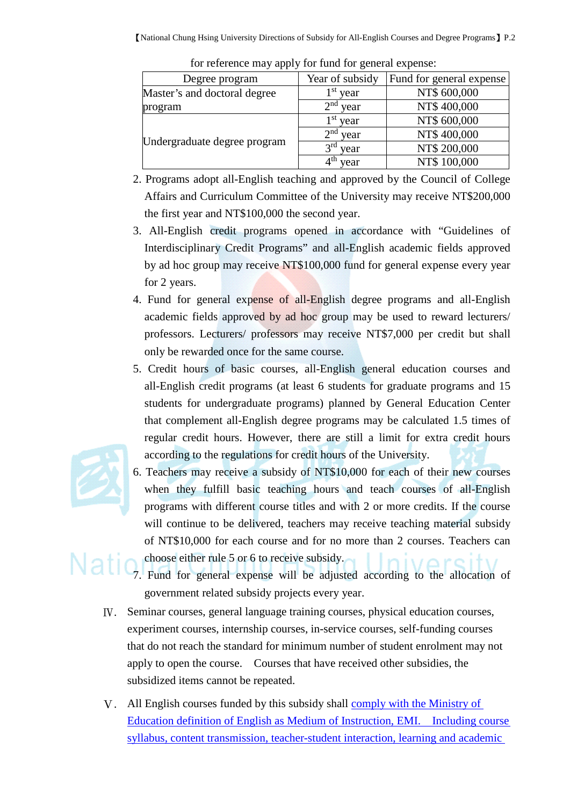| .                            |                         |                          |
|------------------------------|-------------------------|--------------------------|
| Degree program               | Year of subsidy         | Fund for general expense |
| Master's and doctoral degree | 1 <sup>st</sup> year    | NT\$ 600,000             |
| program                      | 2 <sup>nd</sup><br>year | NT\$400,000              |
| Undergraduate degree program | $1st$ year              | NT\$ 600,000             |
|                              | 2 <sup>nd</sup><br>year | NT\$400,000              |
|                              | 2rd<br>year             | NT\$ 200,000             |
|                              | vear                    | NT\$ 100,000             |

for reference may apply for fund for general expense:

- 2. Programs adopt all-English teaching and approved by the Council of College Affairs and Curriculum Committee of the University may receive NT\$200,000 the first year and NT\$100,000 the second year.
- 3. All-English credit programs opened in accordance with "Guidelines of Interdisciplinary Credit Programs" and all-English academic fields approved by ad hoc group may receive NT\$100,000 fund for general expense every year for 2 years.
- 4. Fund for general expense of all-English degree programs and all-English academic fields approved by ad hoc group may be used to reward lecturers/ professors. Lecturers/ professors may receive NT\$7,000 per credit but shall only be rewarded once for the same course.
- 5. Credit hours of basic courses, all-English general education courses and all-English credit programs (at least 6 students for graduate programs and 15 students for undergraduate programs) planned by General Education Center that complement all-English degree programs may be calculated 1.5 times of regular credit hours. However, there are still a limit for extra credit hours according to the regulations for credit hours of the University.

6. Teachers may receive a subsidy of NT\$10,000 for each of their new courses when they fulfill basic teaching hours and teach courses of all-English programs with different course titles and with 2 or more credits. If the course will continue to be delivered, teachers may receive teaching material subsidy of NT\$10,000 for each course and for no more than 2 courses. Teachers can



choose either rule 5 or 6 to receive subsidy. 7. Fund for general expense will be adjusted according to the allocation of government related subsidy projects every year.

- Ⅳ. Seminar courses, general language training courses, physical education courses, experiment courses, internship courses, in-service courses, self-funding courses that do not reach the standard for minimum number of student enrolment may not apply to open the course. Courses that have received other subsidies, the subsidized items cannot be repeated.
- Ⅴ. All English courses funded by this subsidy shall comply with the Ministry of Education definition of English as Medium of Instruction, EMI. Including course syllabus, content transmission, teacher-student interaction, learning and academic